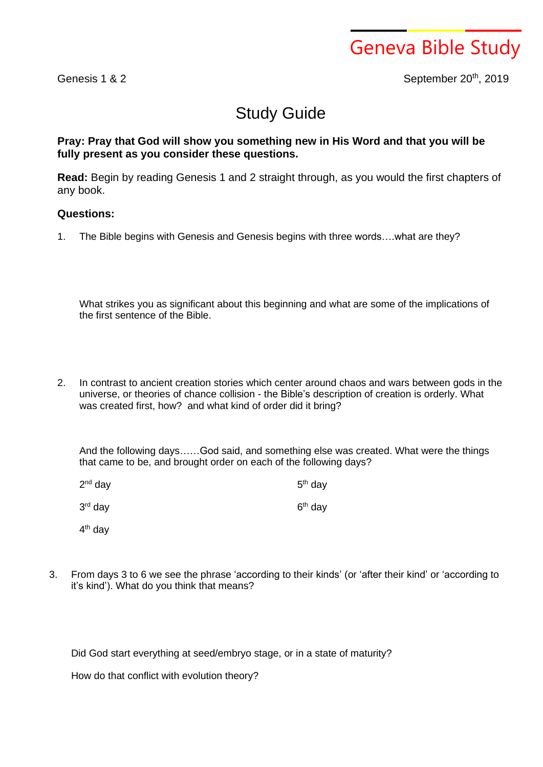

Genesis 1 & 2 September 20th, 2019

## Study Guide

## **Pray: Pray that God will show you something new in His Word and that you will be fully present as you consider these questions.**

**Read:** Begin by reading Genesis 1 and 2 straight through, as you would the first chapters of any book.

## **Questions:**

1. The Bible begins with Genesis and Genesis begins with three words….what are they?

What strikes you as significant about this beginning and what are some of the implications of the first sentence of the Bible.

2. In contrast to ancient creation stories which center around chaos and wars between gods in the universe, or theories of chance collision - the Bible's description of creation is orderly. What was created first, how? and what kind of order did it bring?

And the following days……God said, and something else was created. What were the things that came to be, and brought order on each of the following days?

| 2 <sup>nd</sup> day | $5th$ day |
|---------------------|-----------|
| 3 <sup>rd</sup> day | $6th$ day |

4<sup>th</sup> day

3. From days 3 to 6 we see the phrase 'according to their kinds' (or 'after their kind' or 'according to it's kind'). What do you think that means?

Did God start everything at seed/embryo stage, or in a state of maturity?

How do that conflict with evolution theory?